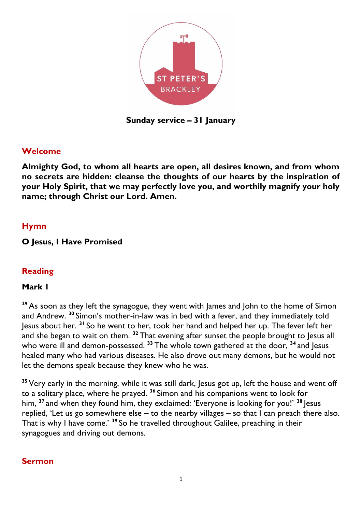

**Sunday service – 31 January**

### **Welcome**

**Almighty God, to whom all hearts are open, all desires known, and from whom no secrets are hidden: cleanse the thoughts of our hearts by the inspiration of your Holy Spirit, that we may perfectly love you, and worthily magnify your holy name; through Christ our Lord. Amen.** 

### **Hymn**

### **O Jesus, I Have Promised**

### **Reading**

#### **Mark 1**

**<sup>29</sup>** As soon as they left the synagogue, they went with James and John to the home of Simon and Andrew. **<sup>30</sup>** Simon's mother-in-law was in bed with a fever, and they immediately told Jesus about her. **<sup>31</sup>** So he went to her, took her hand and helped her up. The fever left her and she began to wait on them. **<sup>32</sup>** That evening after sunset the people brought to Jesus all who were ill and demon-possessed.<sup>33</sup> The whole town gathered at the door, <sup>34</sup> and Jesus healed many who had various diseases. He also drove out many demons, but he would not let the demons speak because they knew who he was.

**<sup>35</sup>** Very early in the morning, while it was still dark, Jesus got up, left the house and went off to a solitary place, where he prayed. **<sup>36</sup>** Simon and his companions went to look for him, **<sup>37</sup>** and when they found him, they exclaimed: 'Everyone is looking for you!' **<sup>38</sup>** Jesus replied, 'Let us go somewhere else – to the nearby villages – so that  $\overline{I}$  can preach there also. That is why I have come.' **<sup>39</sup>** So he travelled throughout Galilee, preaching in their synagogues and driving out demons.

#### **Sermon**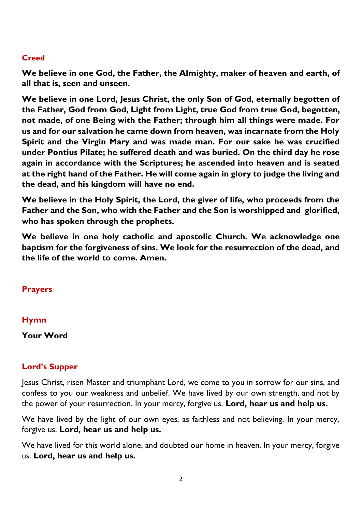### **Creed**

**We believe in one God, the Father, the Almighty, maker of heaven and earth, of all that is, seen and unseen.** 

**We believe in one Lord, Jesus Christ, the only Son of God, eternally begotten of the Father, God from God, Light from Light, true God from true God, begotten, not made, of one Being with the Father; through him all things were made. For us and for our salvation he came down from heaven, was incarnate from the Holy Spirit and the Virgin Mary and was made man. For our sake he was crucified under Pontius Pilate; he suffered death and was buried. On the third day he rose again in accordance with the Scriptures; he ascended into heaven and is seated at the right hand of the Father. He will come again in glory to judge the living and the dead, and his kingdom will have no end.**

**We believe in the Holy Spirit, the Lord, the giver of life, who proceeds from the Father and the Son, who with the Father and the Son is worshipped and glorified, who has spoken through the prophets.** 

**We believe in one holy catholic and apostolic Church. We acknowledge one baptism for the forgiveness of sins. We look for the resurrection of the dead, and the life of the world to come. Amen.**

#### **Prayers**

#### **Hymn**

**Your Word**

#### **Lord's Supper**

Jesus Christ, risen Master and triumphant Lord, we come to you in sorrow for our sins, and confess to you our weakness and unbelief. We have lived by our own strength, and not by the power of your resurrection. In your mercy, forgive us. **Lord, hear us and help us.**

We have lived by the light of our own eyes, as faithless and not believing. In your mercy, forgive us. **Lord, hear us and help us.**

We have lived for this world alone, and doubted our home in heaven. In your mercy, forgive us. **Lord, hear us and help us.**